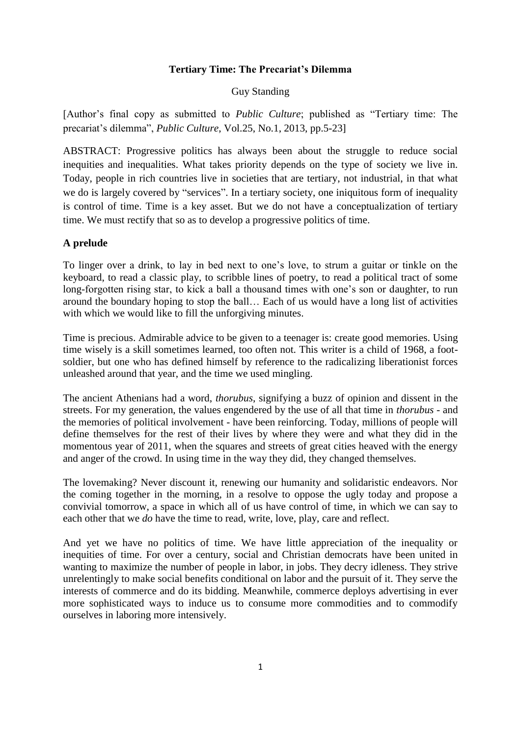### **Tertiary Time: The Precariat's Dilemma**

## Guy Standing

[Author's final copy as submitted to *Public Culture*; published as "Tertiary time: The precariat's dilemma", *Public Culture*, Vol.25, No.1, 2013, pp.5-23]

ABSTRACT: Progressive politics has always been about the struggle to reduce social inequities and inequalities. What takes priority depends on the type of society we live in. Today, people in rich countries live in societies that are tertiary, not industrial, in that what we do is largely covered by "services". In a tertiary society, one iniquitous form of inequality is control of time. Time is a key asset. But we do not have a conceptualization of tertiary time. We must rectify that so as to develop a progressive politics of time.

#### **A prelude**

To linger over a drink, to lay in bed next to one's love, to strum a guitar or tinkle on the keyboard, to read a classic play, to scribble lines of poetry, to read a political tract of some long-forgotten rising star, to kick a ball a thousand times with one's son or daughter, to run around the boundary hoping to stop the ball… Each of us would have a long list of activities with which we would like to fill the unforgiving minutes.

Time is precious. Admirable advice to be given to a teenager is: create good memories. Using time wisely is a skill sometimes learned, too often not. This writer is a child of 1968, a footsoldier, but one who has defined himself by reference to the radicalizing liberationist forces unleashed around that year, and the time we used mingling.

The ancient Athenians had a word, *thorubus*, signifying a buzz of opinion and dissent in the streets. For my generation, the values engendered by the use of all that time in *thorubus -* and the memories of political involvement - have been reinforcing. Today, millions of people will define themselves for the rest of their lives by where they were and what they did in the momentous year of 2011, when the squares and streets of great cities heaved with the energy and anger of the crowd. In using time in the way they did, they changed themselves.

The lovemaking? Never discount it, renewing our humanity and solidaristic endeavors. Nor the coming together in the morning, in a resolve to oppose the ugly today and propose a convivial tomorrow, a space in which all of us have control of time, in which we can say to each other that we *do* have the time to read, write, love, play, care and reflect.

And yet we have no politics of time. We have little appreciation of the inequality or inequities of time. For over a century, social and Christian democrats have been united in wanting to maximize the number of people in labor, in jobs. They decry idleness. They strive unrelentingly to make social benefits conditional on labor and the pursuit of it. They serve the interests of commerce and do its bidding. Meanwhile, commerce deploys advertising in ever more sophisticated ways to induce us to consume more commodities and to commodify ourselves in laboring more intensively.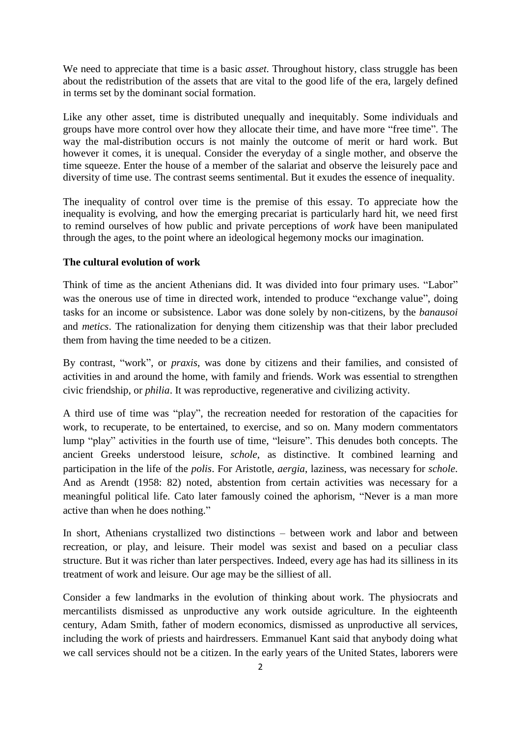We need to appreciate that time is a basic *asset*. Throughout history, class struggle has been about the redistribution of the assets that are vital to the good life of the era, largely defined in terms set by the dominant social formation.

Like any other asset, time is distributed unequally and inequitably. Some individuals and groups have more control over how they allocate their time, and have more "free time". The way the mal-distribution occurs is not mainly the outcome of merit or hard work. But however it comes, it is unequal. Consider the everyday of a single mother, and observe the time squeeze. Enter the house of a member of the salariat and observe the leisurely pace and diversity of time use. The contrast seems sentimental. But it exudes the essence of inequality.

The inequality of control over time is the premise of this essay. To appreciate how the inequality is evolving, and how the emerging precariat is particularly hard hit, we need first to remind ourselves of how public and private perceptions of *work* have been manipulated through the ages, to the point where an ideological hegemony mocks our imagination.

# **The cultural evolution of work**

Think of time as the ancient Athenians did. It was divided into four primary uses. "Labor" was the onerous use of time in directed work, intended to produce "exchange value", doing tasks for an income or subsistence. Labor was done solely by non-citizens, by the *banausoi* and *metics*. The rationalization for denying them citizenship was that their labor precluded them from having the time needed to be a citizen.

By contrast, "work", or *praxis*, was done by citizens and their families, and consisted of activities in and around the home, with family and friends. Work was essential to strengthen civic friendship, or *philia*. It was reproductive, regenerative and civilizing activity.

A third use of time was "play", the recreation needed for restoration of the capacities for work, to recuperate, to be entertained, to exercise, and so on. Many modern commentators lump "play" activities in the fourth use of time, "leisure". This denudes both concepts. The ancient Greeks understood leisure, *schole*, as distinctive. It combined learning and participation in the life of the *polis*. For Aristotle, *aergia*, laziness, was necessary for *schole*. And as Arendt (1958: 82) noted, abstention from certain activities was necessary for a meaningful political life. Cato later famously coined the aphorism, "Never is a man more active than when he does nothing."

In short, Athenians crystallized two distinctions – between work and labor and between recreation, or play, and leisure. Their model was sexist and based on a peculiar class structure. But it was richer than later perspectives. Indeed, every age has had its silliness in its treatment of work and leisure. Our age may be the silliest of all.

Consider a few landmarks in the evolution of thinking about work. The physiocrats and mercantilists dismissed as unproductive any work outside agriculture. In the eighteenth century, Adam Smith, father of modern economics, dismissed as unproductive all services, including the work of priests and hairdressers. Emmanuel Kant said that anybody doing what we call services should not be a citizen. In the early years of the United States, laborers were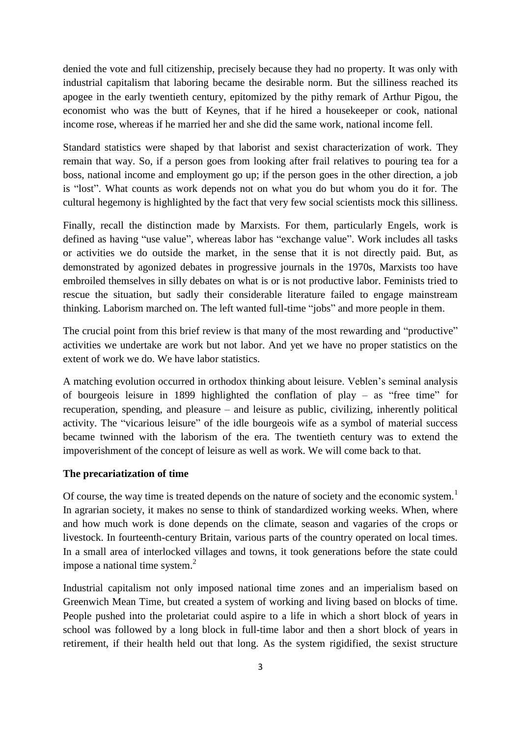denied the vote and full citizenship, precisely because they had no property. It was only with industrial capitalism that laboring became the desirable norm. But the silliness reached its apogee in the early twentieth century, epitomized by the pithy remark of Arthur Pigou, the economist who was the butt of Keynes, that if he hired a housekeeper or cook, national income rose, whereas if he married her and she did the same work, national income fell.

Standard statistics were shaped by that laborist and sexist characterization of work. They remain that way. So, if a person goes from looking after frail relatives to pouring tea for a boss, national income and employment go up; if the person goes in the other direction, a job is "lost". What counts as work depends not on what you do but whom you do it for. The cultural hegemony is highlighted by the fact that very few social scientists mock this silliness.

Finally, recall the distinction made by Marxists. For them, particularly Engels, work is defined as having "use value", whereas labor has "exchange value". Work includes all tasks or activities we do outside the market, in the sense that it is not directly paid. But, as demonstrated by agonized debates in progressive journals in the 1970s, Marxists too have embroiled themselves in silly debates on what is or is not productive labor. Feminists tried to rescue the situation, but sadly their considerable literature failed to engage mainstream thinking. Laborism marched on. The left wanted full-time "jobs" and more people in them.

The crucial point from this brief review is that many of the most rewarding and "productive" activities we undertake are work but not labor. And yet we have no proper statistics on the extent of work we do. We have labor statistics.

A matching evolution occurred in orthodox thinking about leisure. Veblen's seminal analysis of bourgeois leisure in 1899 highlighted the conflation of play – as "free time" for recuperation, spending, and pleasure – and leisure as public, civilizing, inherently political activity. The "vicarious leisure" of the idle bourgeois wife as a symbol of material success became twinned with the laborism of the era. The twentieth century was to extend the impoverishment of the concept of leisure as well as work. We will come back to that.

#### **The precariatization of time**

Of course, the way time is treated depends on the nature of society and the economic system.<sup>1</sup> In agrarian society, it makes no sense to think of standardized working weeks. When, where and how much work is done depends on the climate, season and vagaries of the crops or livestock. In fourteenth-century Britain, various parts of the country operated on local times. In a small area of interlocked villages and towns, it took generations before the state could impose a national time system.<sup>2</sup>

Industrial capitalism not only imposed national time zones and an imperialism based on Greenwich Mean Time, but created a system of working and living based on blocks of time. People pushed into the proletariat could aspire to a life in which a short block of years in school was followed by a long block in full-time labor and then a short block of years in retirement, if their health held out that long. As the system rigidified, the sexist structure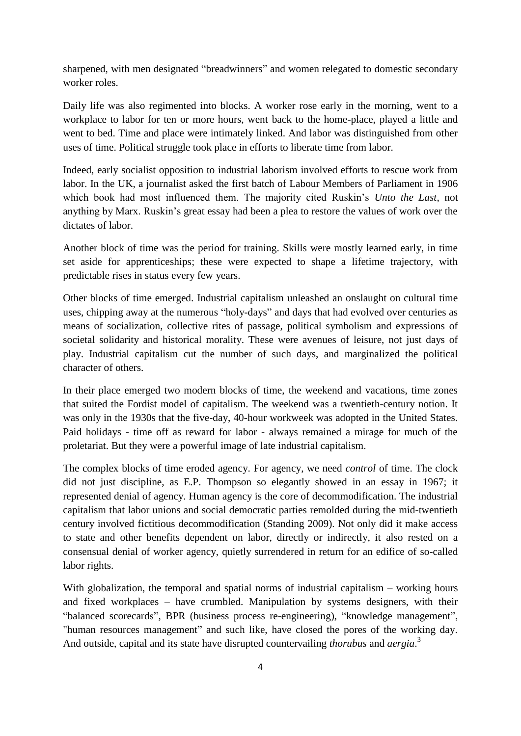sharpened, with men designated "breadwinners" and women relegated to domestic secondary worker roles.

Daily life was also regimented into blocks. A worker rose early in the morning, went to a workplace to labor for ten or more hours, went back to the home-place, played a little and went to bed. Time and place were intimately linked. And labor was distinguished from other uses of time. Political struggle took place in efforts to liberate time from labor.

Indeed, early socialist opposition to industrial laborism involved efforts to rescue work from labor. In the UK, a journalist asked the first batch of Labour Members of Parliament in 1906 which book had most influenced them. The majority cited Ruskin's *Unto the Last*, not anything by Marx. Ruskin's great essay had been a plea to restore the values of work over the dictates of labor.

Another block of time was the period for training. Skills were mostly learned early, in time set aside for apprenticeships; these were expected to shape a lifetime trajectory, with predictable rises in status every few years.

Other blocks of time emerged. Industrial capitalism unleashed an onslaught on cultural time uses, chipping away at the numerous "holy-days" and days that had evolved over centuries as means of socialization, collective rites of passage, political symbolism and expressions of societal solidarity and historical morality. These were avenues of leisure, not just days of play. Industrial capitalism cut the number of such days, and marginalized the political character of others.

In their place emerged two modern blocks of time, the weekend and vacations, time zones that suited the Fordist model of capitalism. The weekend was a twentieth-century notion. It was only in the 1930s that the five-day, 40-hour workweek was adopted in the United States. Paid holidays - time off as reward for labor - always remained a mirage for much of the proletariat. But they were a powerful image of late industrial capitalism.

The complex blocks of time eroded agency. For agency, we need *control* of time. The clock did not just discipline, as E.P. Thompson so elegantly showed in an essay in 1967; it represented denial of agency. Human agency is the core of decommodification. The industrial capitalism that labor unions and social democratic parties remolded during the mid-twentieth century involved fictitious decommodification (Standing 2009). Not only did it make access to state and other benefits dependent on labor, directly or indirectly, it also rested on a consensual denial of worker agency, quietly surrendered in return for an edifice of so-called labor rights.

With globalization, the temporal and spatial norms of industrial capitalism – working hours and fixed workplaces – have crumbled. Manipulation by systems designers, with their "balanced scorecards", BPR (business process re-engineering), "knowledge management", "human resources management" and such like, have closed the pores of the working day. And outside, capital and its state have disrupted countervailing *thorubus* and *aergia*. 3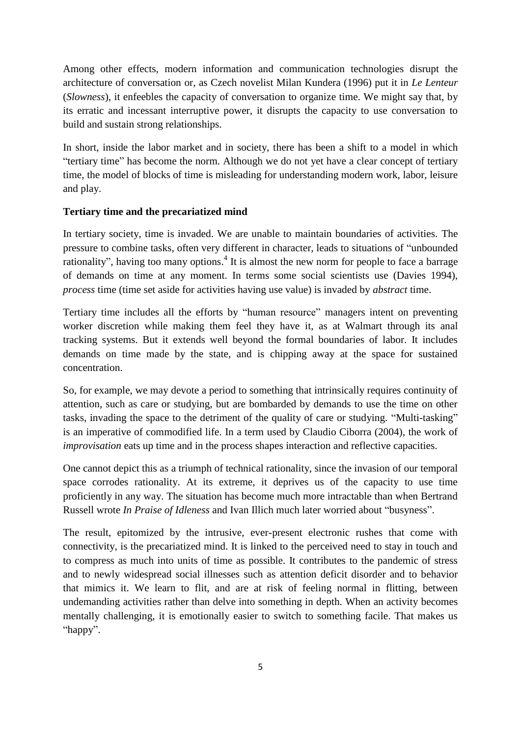Among other effects, modern information and communication technologies disrupt the architecture of conversation or, as Czech novelist Milan Kundera (1996) put it in *Le Lenteur* (*Slowness*), it enfeebles the capacity of conversation to organize time. We might say that, by its erratic and incessant interruptive power, it disrupts the capacity to use conversation to build and sustain strong relationships.

In short, inside the labor market and in society, there has been a shift to a model in which "tertiary time" has become the norm. Although we do not yet have a clear concept of tertiary time, the model of blocks of time is misleading for understanding modern work, labor, leisure and play.

### **Tertiary time and the precariatized mind**

In tertiary society, time is invaded. We are unable to maintain boundaries of activities. The pressure to combine tasks, often very different in character, leads to situations of "unbounded rationality", having too many options.<sup>4</sup> It is almost the new norm for people to face a barrage of demands on time at any moment. In terms some social scientists use (Davies 1994), *process* time (time set aside for activities having use value) is invaded by *abstract* time.

Tertiary time includes all the efforts by "human resource" managers intent on preventing worker discretion while making them feel they have it, as at Walmart through its anal tracking systems. But it extends well beyond the formal boundaries of labor. It includes demands on time made by the state, and is chipping away at the space for sustained concentration.

So, for example, we may devote a period to something that intrinsically requires continuity of attention, such as care or studying, but are bombarded by demands to use the time on other tasks, invading the space to the detriment of the quality of care or studying. "Multi-tasking" is an imperative of commodified life. In a term used by Claudio Ciborra (2004), the work of *improvisation* eats up time and in the process shapes interaction and reflective capacities.

One cannot depict this as a triumph of technical rationality, since the invasion of our temporal space corrodes rationality. At its extreme, it deprives us of the capacity to use time proficiently in any way. The situation has become much more intractable than when Bertrand Russell wrote *In Praise of Idleness* and Ivan Illich much later worried about "busyness".

The result, epitomized by the intrusive, ever-present electronic rushes that come with connectivity, is the precariatized mind. It is linked to the perceived need to stay in touch and to compress as much into units of time as possible. It contributes to the pandemic of stress and to newly widespread social illnesses such as attention deficit disorder and to behavior that mimics it. We learn to flit, and are at risk of feeling normal in flitting, between undemanding activities rather than delve into something in depth. When an activity becomes mentally challenging, it is emotionally easier to switch to something facile. That makes us "happy".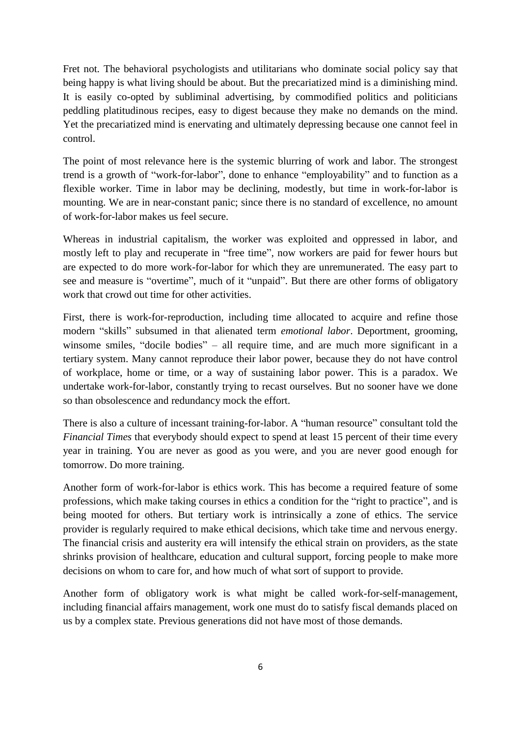Fret not. The behavioral psychologists and utilitarians who dominate social policy say that being happy is what living should be about. But the precariatized mind is a diminishing mind. It is easily co-opted by subliminal advertising, by commodified politics and politicians peddling platitudinous recipes, easy to digest because they make no demands on the mind. Yet the precariatized mind is enervating and ultimately depressing because one cannot feel in control.

The point of most relevance here is the systemic blurring of work and labor. The strongest trend is a growth of "work-for-labor", done to enhance "employability" and to function as a flexible worker. Time in labor may be declining, modestly, but time in work-for-labor is mounting. We are in near-constant panic; since there is no standard of excellence, no amount of work-for-labor makes us feel secure.

Whereas in industrial capitalism, the worker was exploited and oppressed in labor, and mostly left to play and recuperate in "free time", now workers are paid for fewer hours but are expected to do more work-for-labor for which they are unremunerated. The easy part to see and measure is "overtime", much of it "unpaid". But there are other forms of obligatory work that crowd out time for other activities.

First, there is work-for-reproduction*,* including time allocated to acquire and refine those modern "skills" subsumed in that alienated term *emotional labor*. Deportment, grooming, winsome smiles, "docile bodies" – all require time, and are much more significant in a tertiary system. Many cannot reproduce their labor power, because they do not have control of workplace, home or time, or a way of sustaining labor power. This is a paradox. We undertake work-for-labor, constantly trying to recast ourselves. But no sooner have we done so than obsolescence and redundancy mock the effort.

There is also a culture of incessant training-for-labor. A "human resource" consultant told the *Financial Times* that everybody should expect to spend at least 15 percent of their time every year in training. You are never as good as you were, and you are never good enough for tomorrow. Do more training.

Another form of work-for-labor is ethics work. This has become a required feature of some professions, which make taking courses in ethics a condition for the "right to practice", and is being mooted for others. But tertiary work is intrinsically a zone of ethics. The service provider is regularly required to make ethical decisions, which take time and nervous energy. The financial crisis and austerity era will intensify the ethical strain on providers, as the state shrinks provision of healthcare, education and cultural support, forcing people to make more decisions on whom to care for, and how much of what sort of support to provide.

Another form of obligatory work is what might be called work-for-self-management, including financial affairs management, work one must do to satisfy fiscal demands placed on us by a complex state. Previous generations did not have most of those demands.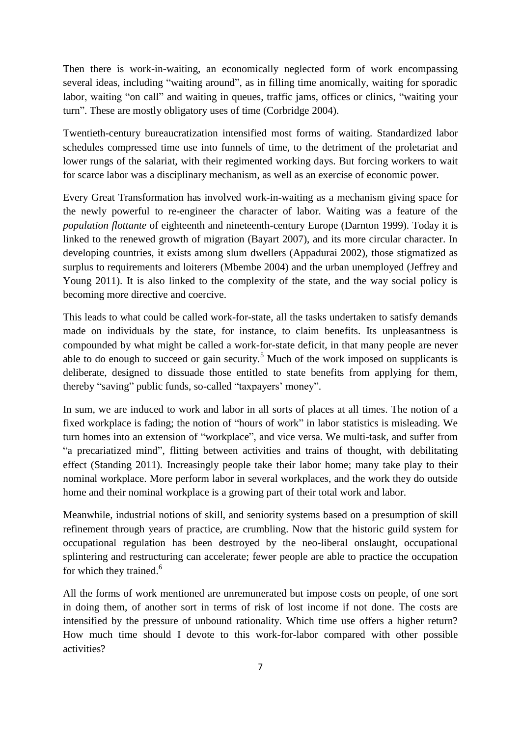Then there is work-in-waiting, an economically neglected form of work encompassing several ideas, including "waiting around", as in filling time anomically, waiting for sporadic labor, waiting "on call" and waiting in queues, traffic jams, offices or clinics, "waiting your turn". These are mostly obligatory uses of time (Corbridge 2004).

Twentieth-century bureaucratization intensified most forms of waiting. Standardized labor schedules compressed time use into funnels of time, to the detriment of the proletariat and lower rungs of the salariat, with their regimented working days. But forcing workers to wait for scarce labor was a disciplinary mechanism, as well as an exercise of economic power.

Every Great Transformation has involved work-in-waiting as a mechanism giving space for the newly powerful to re-engineer the character of labor. Waiting was a feature of the *population flottante* of eighteenth and nineteenth-century Europe (Darnton 1999). Today it is linked to the renewed growth of migration (Bayart 2007), and its more circular character. In developing countries, it exists among slum dwellers (Appadurai 2002), those stigmatized as surplus to requirements and loiterers (Mbembe 2004) and the urban unemployed (Jeffrey and Young 2011). It is also linked to the complexity of the state, and the way social policy is becoming more directive and coercive.

This leads to what could be called work-for-state, all the tasks undertaken to satisfy demands made on individuals by the state, for instance, to claim benefits. Its unpleasantness is compounded by what might be called a work-for-state deficit, in that many people are never able to do enough to succeed or gain security.<sup>5</sup> Much of the work imposed on supplicants is deliberate, designed to dissuade those entitled to state benefits from applying for them, thereby "saving" public funds, so-called "taxpayers' money".

In sum, we are induced to work and labor in all sorts of places at all times. The notion of a fixed workplace is fading; the notion of "hours of work" in labor statistics is misleading. We turn homes into an extension of "workplace", and vice versa. We multi-task, and suffer from "a precariatized mind", flitting between activities and trains of thought, with debilitating effect (Standing 2011). Increasingly people take their labor home; many take play to their nominal workplace. More perform labor in several workplaces, and the work they do outside home and their nominal workplace is a growing part of their total work and labor.

Meanwhile, industrial notions of skill, and seniority systems based on a presumption of skill refinement through years of practice, are crumbling. Now that the historic guild system for occupational regulation has been destroyed by the neo-liberal onslaught, occupational splintering and restructuring can accelerate; fewer people are able to practice the occupation for which they trained.<sup>6</sup>

All the forms of work mentioned are unremunerated but impose costs on people, of one sort in doing them, of another sort in terms of risk of lost income if not done. The costs are intensified by the pressure of unbound rationality. Which time use offers a higher return? How much time should I devote to this work-for-labor compared with other possible activities?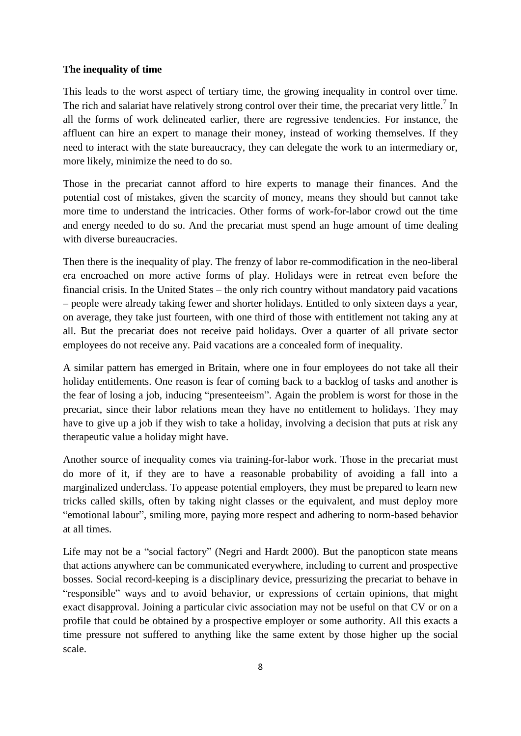### **The inequality of time**

This leads to the worst aspect of tertiary time, the growing inequality in control over time. The rich and salariat have relatively strong control over their time, the precariat very little.<sup>7</sup> In all the forms of work delineated earlier, there are regressive tendencies. For instance, the affluent can hire an expert to manage their money, instead of working themselves. If they need to interact with the state bureaucracy, they can delegate the work to an intermediary or, more likely, minimize the need to do so.

Those in the precariat cannot afford to hire experts to manage their finances. And the potential cost of mistakes, given the scarcity of money, means they should but cannot take more time to understand the intricacies. Other forms of work-for-labor crowd out the time and energy needed to do so. And the precariat must spend an huge amount of time dealing with diverse bureaucracies.

Then there is the inequality of play. The frenzy of labor re-commodification in the neo-liberal era encroached on more active forms of play. Holidays were in retreat even before the financial crisis. In the United States – the only rich country without mandatory paid vacations – people were already taking fewer and shorter holidays. Entitled to only sixteen days a year, on average, they take just fourteen, with one third of those with entitlement not taking any at all. But the precariat does not receive paid holidays. Over a quarter of all private sector employees do not receive any. Paid vacations are a concealed form of inequality.

A similar pattern has emerged in Britain, where one in four employees do not take all their holiday entitlements. One reason is fear of coming back to a backlog of tasks and another is the fear of losing a job, inducing "presenteeism". Again the problem is worst for those in the precariat, since their labor relations mean they have no entitlement to holidays. They may have to give up a job if they wish to take a holiday, involving a decision that puts at risk any therapeutic value a holiday might have.

Another source of inequality comes via training-for-labor work. Those in the precariat must do more of it, if they are to have a reasonable probability of avoiding a fall into a marginalized underclass. To appease potential employers, they must be prepared to learn new tricks called skills, often by taking night classes or the equivalent, and must deploy more "emotional labour", smiling more, paying more respect and adhering to norm-based behavior at all times.

Life may not be a "social factory" (Negri and Hardt 2000). But the panopticon state means that actions anywhere can be communicated everywhere, including to current and prospective bosses. Social record-keeping is a disciplinary device, pressurizing the precariat to behave in "responsible" ways and to avoid behavior, or expressions of certain opinions, that might exact disapproval. Joining a particular civic association may not be useful on that CV or on a profile that could be obtained by a prospective employer or some authority. All this exacts a time pressure not suffered to anything like the same extent by those higher up the social scale.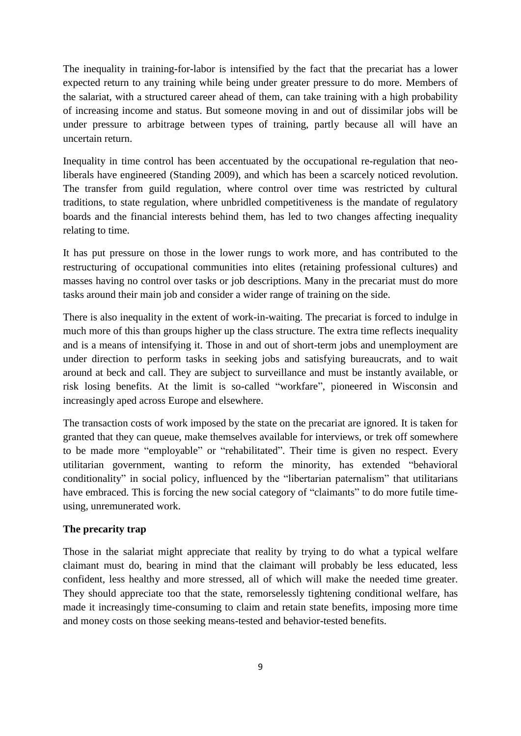The inequality in training-for-labor is intensified by the fact that the precariat has a lower expected return to any training while being under greater pressure to do more. Members of the salariat, with a structured career ahead of them, can take training with a high probability of increasing income and status. But someone moving in and out of dissimilar jobs will be under pressure to arbitrage between types of training, partly because all will have an uncertain return.

Inequality in time control has been accentuated by the occupational re-regulation that neoliberals have engineered (Standing 2009), and which has been a scarcely noticed revolution. The transfer from guild regulation, where control over time was restricted by cultural traditions, to state regulation, where unbridled competitiveness is the mandate of regulatory boards and the financial interests behind them, has led to two changes affecting inequality relating to time.

It has put pressure on those in the lower rungs to work more, and has contributed to the restructuring of occupational communities into elites (retaining professional cultures) and masses having no control over tasks or job descriptions. Many in the precariat must do more tasks around their main job and consider a wider range of training on the side.

There is also inequality in the extent of work-in-waiting. The precariat is forced to indulge in much more of this than groups higher up the class structure. The extra time reflects inequality and is a means of intensifying it. Those in and out of short-term jobs and unemployment are under direction to perform tasks in seeking jobs and satisfying bureaucrats, and to wait around at beck and call. They are subject to surveillance and must be instantly available, or risk losing benefits. At the limit is so-called "workfare", pioneered in Wisconsin and increasingly aped across Europe and elsewhere.

The transaction costs of work imposed by the state on the precariat are ignored. It is taken for granted that they can queue, make themselves available for interviews, or trek off somewhere to be made more "employable" or "rehabilitated". Their time is given no respect. Every utilitarian government, wanting to reform the minority, has extended "behavioral conditionality" in social policy, influenced by the "libertarian paternalism" that utilitarians have embraced. This is forcing the new social category of "claimants" to do more futile timeusing, unremunerated work.

#### **The precarity trap**

Those in the salariat might appreciate that reality by trying to do what a typical welfare claimant must do, bearing in mind that the claimant will probably be less educated, less confident, less healthy and more stressed, all of which will make the needed time greater. They should appreciate too that the state, remorselessly tightening conditional welfare, has made it increasingly time-consuming to claim and retain state benefits, imposing more time and money costs on those seeking means-tested and behavior-tested benefits.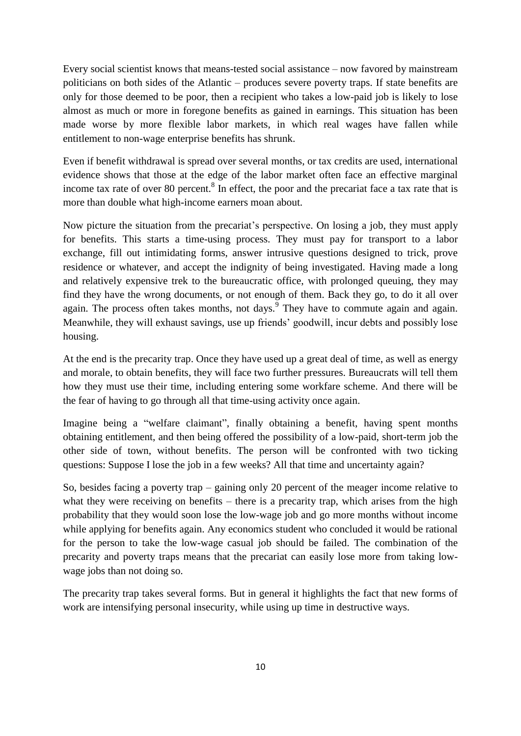Every social scientist knows that means-tested social assistance – now favored by mainstream politicians on both sides of the Atlantic – produces severe poverty traps. If state benefits are only for those deemed to be poor, then a recipient who takes a low-paid job is likely to lose almost as much or more in foregone benefits as gained in earnings. This situation has been made worse by more flexible labor markets, in which real wages have fallen while entitlement to non-wage enterprise benefits has shrunk.

Even if benefit withdrawal is spread over several months, or tax credits are used, international evidence shows that those at the edge of the labor market often face an effective marginal income tax rate of over 80 percent.<sup>8</sup> In effect, the poor and the precariat face a tax rate that is more than double what high-income earners moan about.

Now picture the situation from the precariat's perspective. On losing a job, they must apply for benefits. This starts a time-using process. They must pay for transport to a labor exchange, fill out intimidating forms, answer intrusive questions designed to trick, prove residence or whatever, and accept the indignity of being investigated. Having made a long and relatively expensive trek to the bureaucratic office, with prolonged queuing, they may find they have the wrong documents, or not enough of them. Back they go, to do it all over again. The process often takes months, not days.<sup>9</sup> They have to commute again and again. Meanwhile, they will exhaust savings, use up friends' goodwill, incur debts and possibly lose housing.

At the end is the precarity trap. Once they have used up a great deal of time, as well as energy and morale, to obtain benefits, they will face two further pressures. Bureaucrats will tell them how they must use their time, including entering some workfare scheme. And there will be the fear of having to go through all that time-using activity once again.

Imagine being a "welfare claimant", finally obtaining a benefit, having spent months obtaining entitlement, and then being offered the possibility of a low-paid, short-term job the other side of town, without benefits. The person will be confronted with two ticking questions: Suppose I lose the job in a few weeks? All that time and uncertainty again?

So, besides facing a poverty trap – gaining only 20 percent of the meager income relative to what they were receiving on benefits – there is a precarity trap, which arises from the high probability that they would soon lose the low-wage job and go more months without income while applying for benefits again. Any economics student who concluded it would be rational for the person to take the low-wage casual job should be failed. The combination of the precarity and poverty traps means that the precariat can easily lose more from taking lowwage jobs than not doing so.

The precarity trap takes several forms. But in general it highlights the fact that new forms of work are intensifying personal insecurity, while using up time in destructive ways.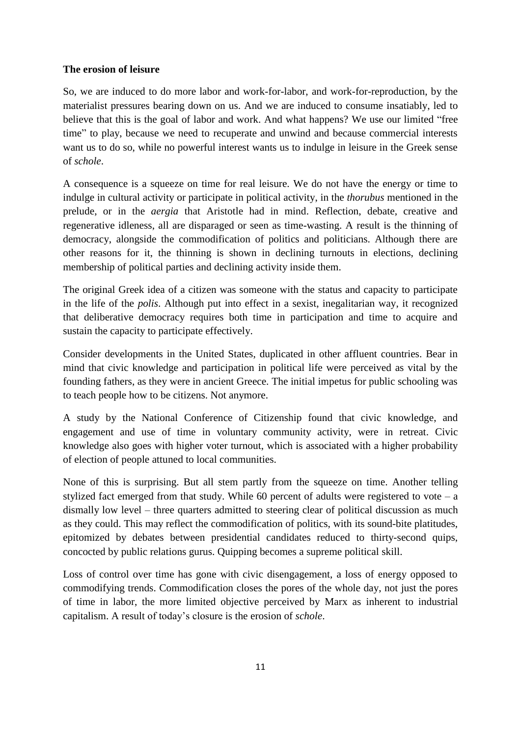## **The erosion of leisure**

So, we are induced to do more labor and work-for-labor, and work-for-reproduction, by the materialist pressures bearing down on us. And we are induced to consume insatiably, led to believe that this is the goal of labor and work. And what happens? We use our limited "free time" to play, because we need to recuperate and unwind and because commercial interests want us to do so, while no powerful interest wants us to indulge in leisure in the Greek sense of *schole*.

A consequence is a squeeze on time for real leisure. We do not have the energy or time to indulge in cultural activity or participate in political activity, in the *thorubus* mentioned in the prelude, or in the *aergia* that Aristotle had in mind. Reflection, debate, creative and regenerative idleness, all are disparaged or seen as time-wasting. A result is the thinning of democracy, alongside the commodification of politics and politicians. Although there are other reasons for it, the thinning is shown in declining turnouts in elections, declining membership of political parties and declining activity inside them.

The original Greek idea of a citizen was someone with the status and capacity to participate in the life of the *polis*. Although put into effect in a sexist, inegalitarian way, it recognized that deliberative democracy requires both time in participation and time to acquire and sustain the capacity to participate effectively.

Consider developments in the United States, duplicated in other affluent countries. Bear in mind that civic knowledge and participation in political life were perceived as vital by the founding fathers, as they were in ancient Greece. The initial impetus for public schooling was to teach people how to be citizens. Not anymore.

A study by the National Conference of Citizenship found that civic knowledge, and engagement and use of time in voluntary community activity, were in retreat. Civic knowledge also goes with higher voter turnout, which is associated with a higher probability of election of people attuned to local communities.

None of this is surprising. But all stem partly from the squeeze on time. Another telling stylized fact emerged from that study. While 60 percent of adults were registered to vote – a dismally low level – three quarters admitted to steering clear of political discussion as much as they could. This may reflect the commodification of politics, with its sound-bite platitudes, epitomized by debates between presidential candidates reduced to thirty-second quips, concocted by public relations gurus. Quipping becomes a supreme political skill.

Loss of control over time has gone with civic disengagement, a loss of energy opposed to commodifying trends. Commodification closes the pores of the whole day, not just the pores of time in labor, the more limited objective perceived by Marx as inherent to industrial capitalism. A result of today's closure is the erosion of *schole*.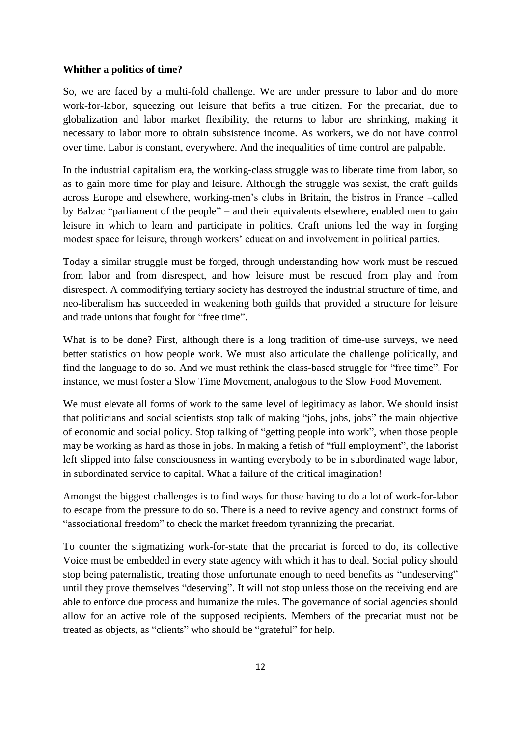#### **Whither a politics of time?**

So, we are faced by a multi-fold challenge. We are under pressure to labor and do more work-for-labor, squeezing out leisure that befits a true citizen. For the precariat, due to globalization and labor market flexibility, the returns to labor are shrinking, making it necessary to labor more to obtain subsistence income. As workers, we do not have control over time. Labor is constant, everywhere. And the inequalities of time control are palpable.

In the industrial capitalism era, the working-class struggle was to liberate time from labor, so as to gain more time for play and leisure. Although the struggle was sexist, the craft guilds across Europe and elsewhere, working-men's clubs in Britain, the bistros in France –called by Balzac "parliament of the people" – and their equivalents elsewhere, enabled men to gain leisure in which to learn and participate in politics. Craft unions led the way in forging modest space for leisure, through workers' education and involvement in political parties.

Today a similar struggle must be forged, through understanding how work must be rescued from labor and from disrespect, and how leisure must be rescued from play and from disrespect. A commodifying tertiary society has destroyed the industrial structure of time, and neo-liberalism has succeeded in weakening both guilds that provided a structure for leisure and trade unions that fought for "free time".

What is to be done? First, although there is a long tradition of time-use surveys, we need better statistics on how people work. We must also articulate the challenge politically, and find the language to do so. And we must rethink the class-based struggle for "free time". For instance, we must foster a Slow Time Movement, analogous to the Slow Food Movement.

We must elevate all forms of work to the same level of legitimacy as labor. We should insist that politicians and social scientists stop talk of making "jobs, jobs, jobs" the main objective of economic and social policy. Stop talking of "getting people into work", when those people may be working as hard as those in jobs. In making a fetish of "full employment", the laborist left slipped into false consciousness in wanting everybody to be in subordinated wage labor, in subordinated service to capital. What a failure of the critical imagination!

Amongst the biggest challenges is to find ways for those having to do a lot of work-for-labor to escape from the pressure to do so. There is a need to revive agency and construct forms of "associational freedom" to check the market freedom tyrannizing the precariat.

To counter the stigmatizing work-for-state that the precariat is forced to do, its collective Voice must be embedded in every state agency with which it has to deal. Social policy should stop being paternalistic, treating those unfortunate enough to need benefits as "undeserving" until they prove themselves "deserving". It will not stop unless those on the receiving end are able to enforce due process and humanize the rules. The governance of social agencies should allow for an active role of the supposed recipients. Members of the precariat must not be treated as objects, as "clients" who should be "grateful" for help.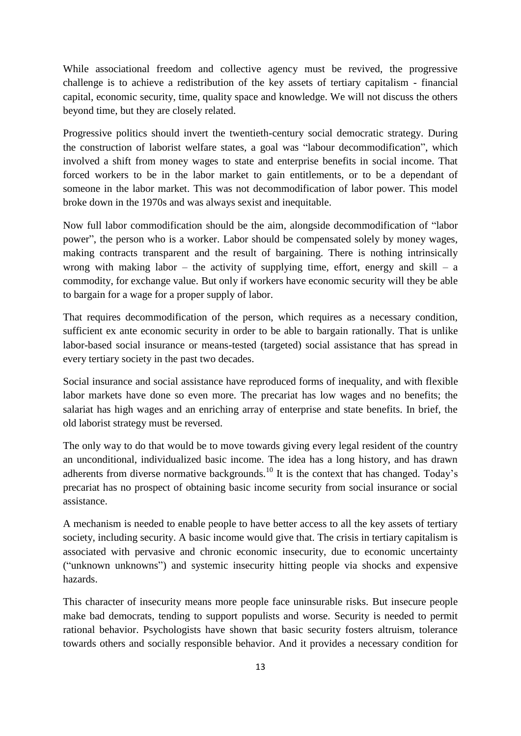While associational freedom and collective agency must be revived, the progressive challenge is to achieve a redistribution of the key assets of tertiary capitalism - financial capital, economic security, time, quality space and knowledge. We will not discuss the others beyond time, but they are closely related.

Progressive politics should invert the twentieth-century social democratic strategy. During the construction of laborist welfare states, a goal was "labour decommodification", which involved a shift from money wages to state and enterprise benefits in social income. That forced workers to be in the labor market to gain entitlements, or to be a dependant of someone in the labor market. This was not decommodification of labor power. This model broke down in the 1970s and was always sexist and inequitable.

Now full labor commodification should be the aim, alongside decommodification of "labor power", the person who is a worker. Labor should be compensated solely by money wages, making contracts transparent and the result of bargaining. There is nothing intrinsically wrong with making labor – the activity of supplying time, effort, energy and skill – a commodity, for exchange value. But only if workers have economic security will they be able to bargain for a wage for a proper supply of labor.

That requires decommodification of the person, which requires as a necessary condition, sufficient ex ante economic security in order to be able to bargain rationally. That is unlike labor-based social insurance or means-tested (targeted) social assistance that has spread in every tertiary society in the past two decades.

Social insurance and social assistance have reproduced forms of inequality, and with flexible labor markets have done so even more. The precariat has low wages and no benefits; the salariat has high wages and an enriching array of enterprise and state benefits. In brief, the old laborist strategy must be reversed.

The only way to do that would be to move towards giving every legal resident of the country an unconditional, individualized basic income. The idea has a long history, and has drawn adherents from diverse normative backgrounds.<sup>10</sup> It is the context that has changed. Today's precariat has no prospect of obtaining basic income security from social insurance or social assistance.

A mechanism is needed to enable people to have better access to all the key assets of tertiary society, including security. A basic income would give that. The crisis in tertiary capitalism is associated with pervasive and chronic economic insecurity, due to economic uncertainty ("unknown unknowns") and systemic insecurity hitting people via shocks and expensive hazards.

This character of insecurity means more people face uninsurable risks. But insecure people make bad democrats, tending to support populists and worse. Security is needed to permit rational behavior. Psychologists have shown that basic security fosters altruism, tolerance towards others and socially responsible behavior. And it provides a necessary condition for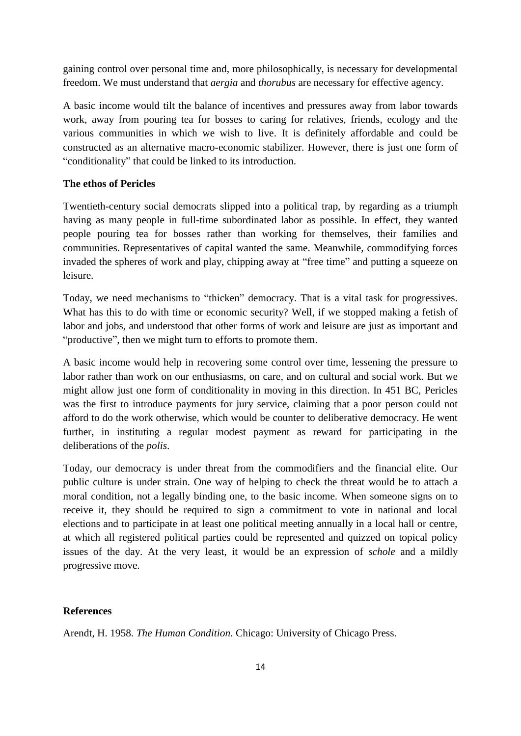gaining control over personal time and, more philosophically, is necessary for developmental freedom. We must understand that *aergia* and *thorubus* are necessary for effective agency.

A basic income would tilt the balance of incentives and pressures away from labor towards work, away from pouring tea for bosses to caring for relatives, friends, ecology and the various communities in which we wish to live. It is definitely affordable and could be constructed as an alternative macro-economic stabilizer. However, there is just one form of "conditionality" that could be linked to its introduction.

#### **The ethos of Pericles**

Twentieth-century social democrats slipped into a political trap, by regarding as a triumph having as many people in full-time subordinated labor as possible. In effect, they wanted people pouring tea for bosses rather than working for themselves, their families and communities. Representatives of capital wanted the same. Meanwhile, commodifying forces invaded the spheres of work and play, chipping away at "free time" and putting a squeeze on leisure.

Today, we need mechanisms to "thicken" democracy. That is a vital task for progressives. What has this to do with time or economic security? Well, if we stopped making a fetish of labor and jobs, and understood that other forms of work and leisure are just as important and "productive", then we might turn to efforts to promote them.

A basic income would help in recovering some control over time, lessening the pressure to labor rather than work on our enthusiasms, on care, and on cultural and social work. But we might allow just one form of conditionality in moving in this direction. In 451 BC, Pericles was the first to introduce payments for jury service, claiming that a poor person could not afford to do the work otherwise, which would be counter to deliberative democracy. He went further, in instituting a regular modest payment as reward for participating in the deliberations of the *polis*.

Today, our democracy is under threat from the commodifiers and the financial elite. Our public culture is under strain. One way of helping to check the threat would be to attach a moral condition, not a legally binding one, to the basic income. When someone signs on to receive it, they should be required to sign a commitment to vote in national and local elections and to participate in at least one political meeting annually in a local hall or centre, at which all registered political parties could be represented and quizzed on topical policy issues of the day. At the very least, it would be an expression of *schole* and a mildly progressive move.

### **References**

Arendt, H. 1958. *The Human Condition.* Chicago: University of Chicago Press.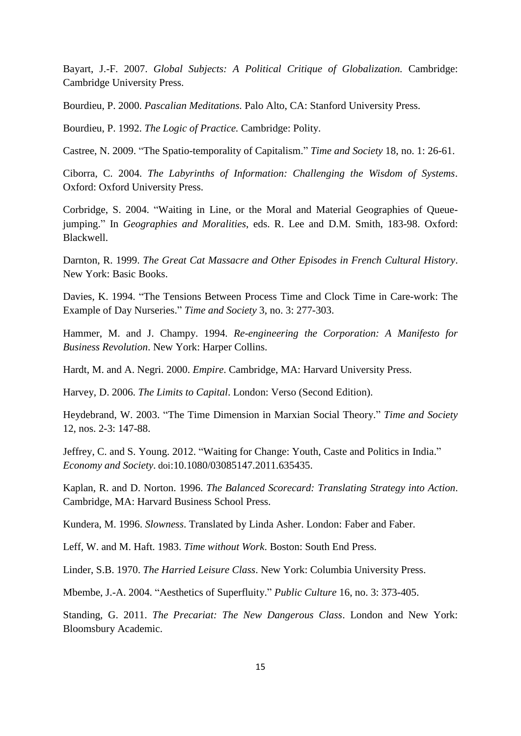Bayart, J.-F. 2007. *Global Subjects: A Political Critique of Globalization.* Cambridge: Cambridge University Press.

Bourdieu, P. 2000. *Pascalian Meditations.* Palo Alto, CA: Stanford University Press.

Bourdieu, P. 1992. *The Logic of Practice.* Cambridge: Polity.

Castree, N. 2009. "The Spatio-temporality of Capitalism." *Time and Society* 18, no. 1: 26-61.

Ciborra, C. 2004. *The Labyrinths of Information: Challenging the Wisdom of Systems*. Oxford: Oxford University Press.

Corbridge, S. 2004. "Waiting in Line, or the Moral and Material Geographies of Queuejumping." In *Geographies and Moralities*, eds. R. Lee and D.M. Smith, 183-98. Oxford: Blackwell.

Darnton, R. 1999. *The Great Cat Massacre and Other Episodes in French Cultural History*. New York: Basic Books.

Davies, K. 1994. "The Tensions Between Process Time and Clock Time in Care-work: The Example of Day Nurseries." *Time and Society* 3, no. 3: 277-303.

Hammer, M. and J. Champy. 1994. *Re-engineering the Corporation: A Manifesto for Business Revolution*. New York: Harper Collins.

Hardt, M. and A. Negri. 2000. *Empire*. Cambridge, MA: Harvard University Press.

Harvey, D. 2006. *The Limits to Capital*. London: Verso (Second Edition).

Heydebrand, W. 2003. "The Time Dimension in Marxian Social Theory." *Time and Society* 12, nos. 2-3: 147-88.

Jeffrey, C. and S. Young. 2012. "Waiting for Change: Youth, Caste and Politics in India." *Economy and Society*. doi:10.1080/03085147.2011.635435.

Kaplan, R. and D. Norton. 1996. *The Balanced Scorecard: Translating Strategy into Action*. Cambridge, MA: Harvard Business School Press.

Kundera, M. 1996. *Slowness*. Translated by Linda Asher. London: Faber and Faber.

Leff, W. and M. Haft. 1983. *Time without Work*. Boston: South End Press.

Linder, S.B. 1970. *The Harried Leisure Class*. New York: Columbia University Press.

Mbembe, J.-A. 2004. "Aesthetics of Superfluity." *Public Culture* 16, no. 3: 373-405.

Standing, G. 2011. *The Precariat: The New Dangerous Class*. London and New York: Bloomsbury Academic.